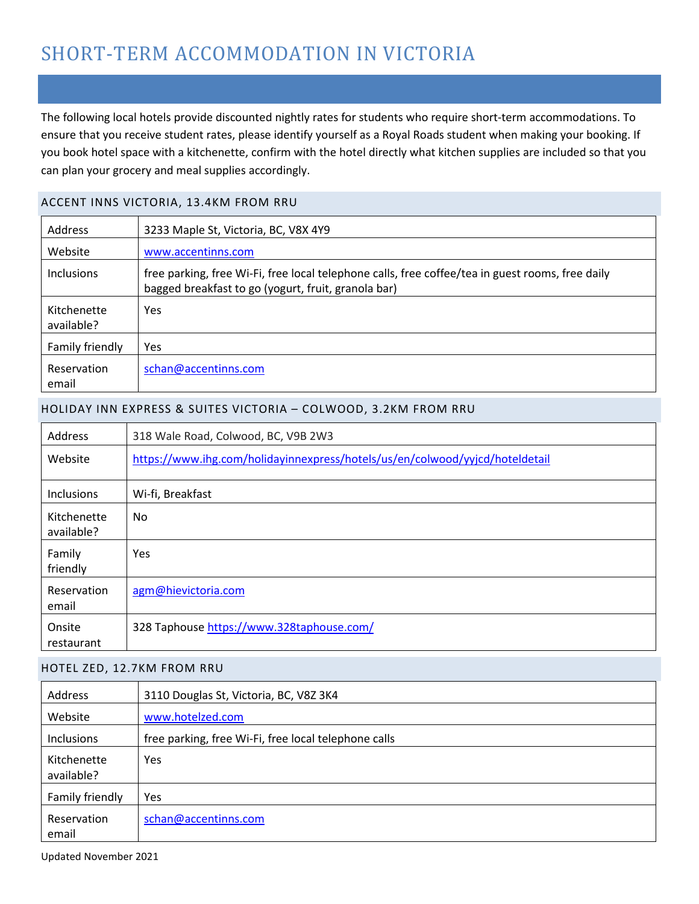# SHORT-TERM ACCOMMODATION IN VICTORIA

The following local hotels provide discounted nightly rates for students who require short-term accommodations. To ensure that you receive student rates, please identify yourself as a Royal Roads student when making your booking. If you book hotel space with a kitchenette, confirm with the hotel directly what kitchen supplies are included so that you can plan your grocery and meal supplies accordingly.

### ACCENT INNS VICTORIA, 13.4KM FROM RRU

| <b>Address</b>            | 3233 Maple St, Victoria, BC, V8X 4Y9                                                                                                                    |
|---------------------------|---------------------------------------------------------------------------------------------------------------------------------------------------------|
| Website                   | www.accentinns.com                                                                                                                                      |
| <b>Inclusions</b>         | free parking, free Wi-Fi, free local telephone calls, free coffee/tea in guest rooms, free daily<br>bagged breakfast to go (yogurt, fruit, granola bar) |
| Kitchenette<br>available? | <b>Yes</b>                                                                                                                                              |
| Family friendly           | <b>Yes</b>                                                                                                                                              |
| Reservation<br>email      | schan@accentinns.com                                                                                                                                    |

### HOLIDAY INN EXPRESS & SUITES VICTORIA – COLWOOD, 3.2KM FROM RRU

| Address                   | 318 Wale Road, Colwood, BC, V9B 2W3                                          |
|---------------------------|------------------------------------------------------------------------------|
| Website                   | https://www.ihg.com/holidayinnexpress/hotels/us/en/colwood/yyjcd/hoteldetail |
| <b>Inclusions</b>         | Wi-fi, Breakfast                                                             |
| Kitchenette<br>available? | No.                                                                          |
| Family<br>friendly        | Yes                                                                          |
| Reservation<br>email      | agm@hievictoria.com                                                          |
| Onsite<br>restaurant      | 328 Taphouse https://www.328taphouse.com/                                    |

### HOTEL ZED, 12.7KM FROM RRU

| Address                   | 3110 Douglas St, Victoria, BC, V8Z 3K4               |
|---------------------------|------------------------------------------------------|
| Website                   | www.hotelzed.com                                     |
| Inclusions                | free parking, free Wi-Fi, free local telephone calls |
| Kitchenette<br>available? | <b>Yes</b>                                           |
| Family friendly           | <b>Yes</b>                                           |
| Reservation<br>email      | schan@accentinns.com                                 |